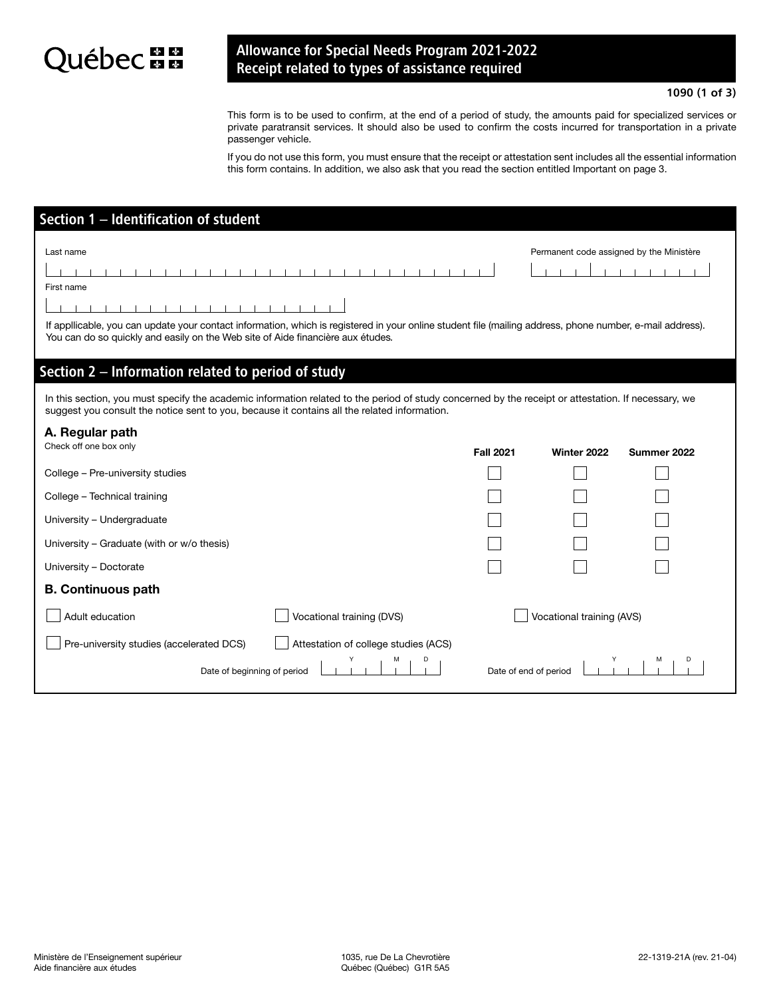## Québec au

## Allowance for Special Needs Program 2021-2022 Receipt related to types of assistance required

## 1090 (1 of 3)

This form is to be used to confirm, at the end of a period of study, the amounts paid for specialized services or private paratransit services. It should also be used to confirm the costs incurred for transportation in a private passenger vehicle.

If you do not use this form, you must ensure that the receipt or attestation sent includes all the essential information this form contains. In addition, we also ask that you read the section entitled Important on page 3.

| Section 1 - Identification of student                                                                                                                                                                                                                                   |                       |                                          |             |
|-------------------------------------------------------------------------------------------------------------------------------------------------------------------------------------------------------------------------------------------------------------------------|-----------------------|------------------------------------------|-------------|
| Last name<br>First name<br>If appllicable, you can update your contact information, which is registered in your online student file (mailing address, phone number, e-mail address).<br>You can do so quickly and easily on the Web site of Aide financière aux études. |                       | Permanent code assigned by the Ministère |             |
| Section 2 – Information related to period of study                                                                                                                                                                                                                      |                       |                                          |             |
| In this section, you must specify the academic information related to the period of study concerned by the receipt or attestation. If necessary, we<br>suggest you consult the notice sent to you, because it contains all the related information.                     |                       |                                          |             |
| A. Regular path<br>Check off one box only                                                                                                                                                                                                                               | <b>Fall 2021</b>      | Winter 2022                              | Summer 2022 |
| College - Pre-university studies                                                                                                                                                                                                                                        |                       |                                          |             |
| College - Technical training                                                                                                                                                                                                                                            |                       |                                          |             |
| University - Undergraduate                                                                                                                                                                                                                                              |                       |                                          |             |
| University – Graduate (with or w/o thesis)                                                                                                                                                                                                                              |                       |                                          |             |
| University - Doctorate                                                                                                                                                                                                                                                  |                       |                                          |             |
| <b>B. Continuous path</b>                                                                                                                                                                                                                                               |                       |                                          |             |
| Adult education<br>Vocational training (DVS)                                                                                                                                                                                                                            |                       | Vocational training (AVS)                |             |
| Attestation of college studies (ACS)<br>Pre-university studies (accelerated DCS)                                                                                                                                                                                        |                       |                                          |             |
| Date of beginning of period                                                                                                                                                                                                                                             | Date of end of period |                                          |             |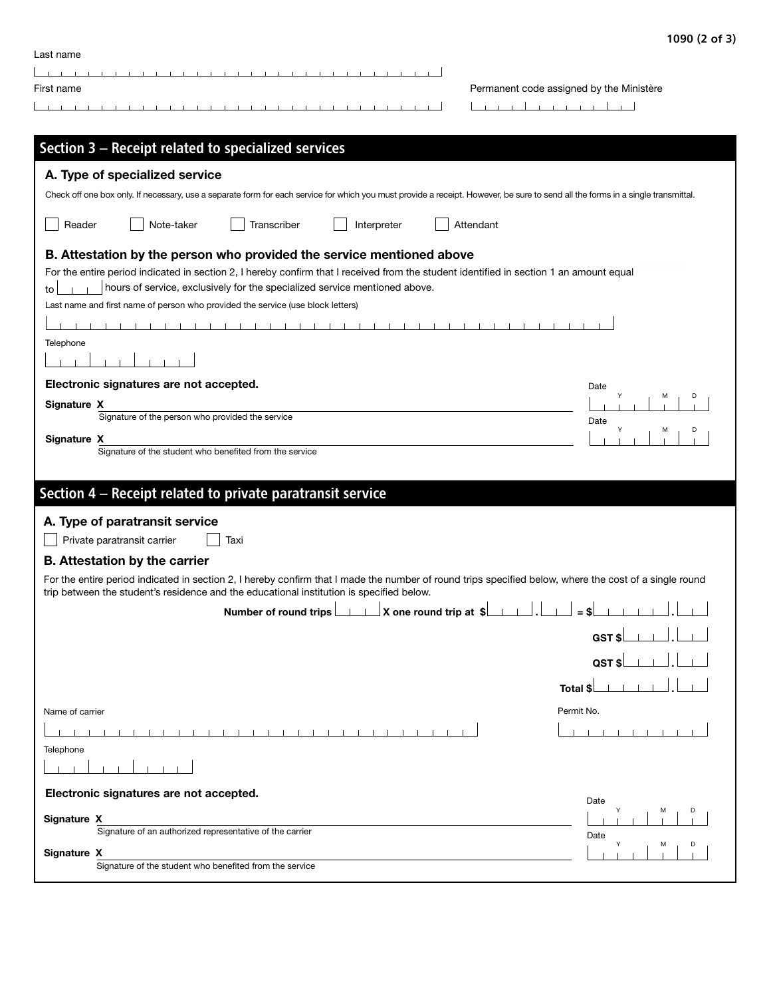| 1090 (2 of 3) |  |  |  |
|---------------|--|--|--|
|---------------|--|--|--|

| Last name                                                                                                                                                                                                                   |                                          |
|-----------------------------------------------------------------------------------------------------------------------------------------------------------------------------------------------------------------------------|------------------------------------------|
| First name                                                                                                                                                                                                                  | Permanent code assigned by the Ministère |
|                                                                                                                                                                                                                             | $-1$ $-1$ $-1$ $-1$ $-1$                 |
|                                                                                                                                                                                                                             |                                          |
| Section 3 - Receipt related to specialized services                                                                                                                                                                         |                                          |
| A. Type of specialized service                                                                                                                                                                                              |                                          |
| Check off one box only. If necessary, use a separate form for each service for which you must provide a receipt. However, be sure to send all the forms in a single transmittal.                                            |                                          |
| Reader<br>Note-taker<br>Transcriber<br>Interpreter                                                                                                                                                                          | Attendant                                |
| B. Attestation by the person who provided the service mentioned above                                                                                                                                                       |                                          |
| For the entire period indicated in section 2, I hereby confirm that I received from the student identified in section 1 an amount equal<br>hours of service, exclusively for the specialized service mentioned above.<br>to |                                          |
| Last name and first name of person who provided the service (use block letters)                                                                                                                                             |                                          |
|                                                                                                                                                                                                                             |                                          |
| Telephone                                                                                                                                                                                                                   |                                          |
|                                                                                                                                                                                                                             |                                          |
| Electronic signatures are not accepted.                                                                                                                                                                                     | Date                                     |
| Signature X<br>Signature of the person who provided the service                                                                                                                                                             | Date                                     |
| Signature X                                                                                                                                                                                                                 | M                                        |
| Signature of the student who benefited from the service                                                                                                                                                                     |                                          |
|                                                                                                                                                                                                                             |                                          |
| Section 4 - Receipt related to private paratransit service                                                                                                                                                                  |                                          |
| A. Type of paratransit service                                                                                                                                                                                              |                                          |
| Private paratransit carrier<br>Taxi                                                                                                                                                                                         |                                          |
| <b>B.</b> Attestation by the carrier                                                                                                                                                                                        |                                          |
| For the entire period indicated in section 2, I hereby confirm that I made the number of round trips specified below, where the cost of a single round                                                                      |                                          |
| trip between the student's residence and the educational institution is specified below.<br>X one round trip at \$<br>Number of round trips                                                                                 |                                          |
|                                                                                                                                                                                                                             |                                          |
|                                                                                                                                                                                                                             | GST\$                                    |
|                                                                                                                                                                                                                             | QST\$                                    |
|                                                                                                                                                                                                                             | Total \$                                 |
| Name of carrier                                                                                                                                                                                                             | Permit No.                               |
|                                                                                                                                                                                                                             |                                          |
| Telephone                                                                                                                                                                                                                   |                                          |
|                                                                                                                                                                                                                             |                                          |
| Electronic signatures are not accepted.                                                                                                                                                                                     |                                          |
| Signature X                                                                                                                                                                                                                 | Date<br>м                                |
| Signature of an authorized representative of the carrier                                                                                                                                                                    | Date                                     |
| Signature X                                                                                                                                                                                                                 | М<br>D                                   |
| Signature of the student who benefited from the service                                                                                                                                                                     |                                          |